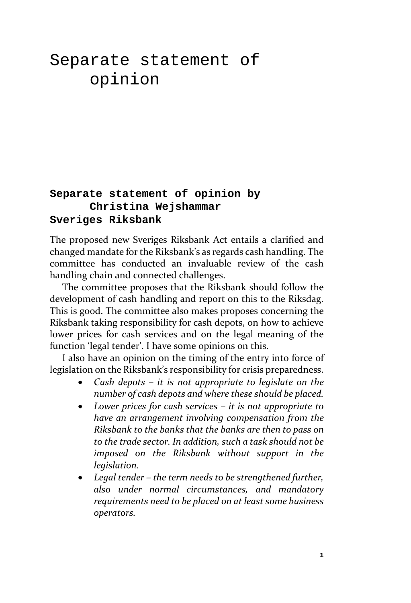# Separate statement of opinion

# **Separate statement of opinion by Christina Wejshammar Sveriges Riksbank**

The proposed new Sveriges Riksbank Act entails a clarified and changed mandate for the Riksbank's as regards cash handling. The committee has conducted an invaluable review of the cash handling chain and connected challenges.

The committee proposes that the Riksbank should follow the development of cash handling and report on this to the Riksdag. This is good. The committee also makes proposes concerning the Riksbank taking responsibility for cash depots, on how to achieve lower prices for cash services and on the legal meaning of the function 'legal tender'. I have some opinions on this.

I also have an opinion on the timing of the entry into force of legislation on the Riksbank's responsibility for crisis preparedness.

- *Cash depots – it is not appropriate to legislate on the number of cash depots and where these should be placed.*
- *Lower prices for cash services – it is not appropriate to have an arrangement involving compensation from the Riksbank to the banks that the banks are then to pass on to the trade sector. In addition, such a task should not be imposed on the Riksbank without support in the legislation.*
- *Legal tender – the term needs to be strengthened further, also under normal circumstances, and mandatory requirements need to be placed on at least some business operators.*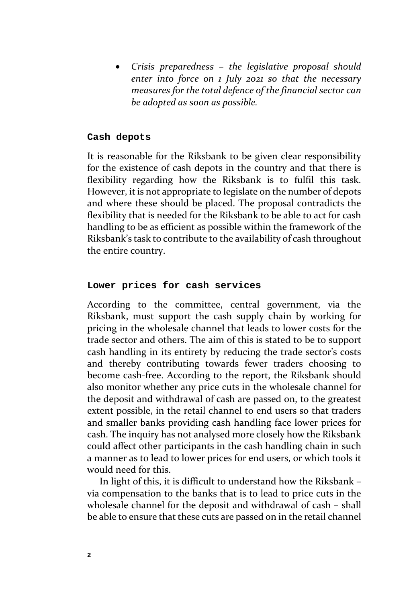• *Crisis preparedness – the legislative proposal should enter into force on 1 July 2021 so that the necessary measures for the total defence of the financial sector can be adopted as soon as possible.*

### **Cash depots**

It is reasonable for the Riksbank to be given clear responsibility for the existence of cash depots in the country and that there is flexibility regarding how the Riksbank is to fulfil this task. However, it is not appropriate to legislate on the number of depots and where these should be placed. The proposal contradicts the flexibility that is needed for the Riksbank to be able to act for cash handling to be as efficient as possible within the framework of the Riksbank's task to contribute to the availability of cash throughout the entire country.

## **Lower prices for cash services**

According to the committee, central government, via the Riksbank, must support the cash supply chain by working for pricing in the wholesale channel that leads to lower costs for the trade sector and others. The aim of this is stated to be to support cash handling in its entirety by reducing the trade sector's costs and thereby contributing towards fewer traders choosing to become cash-free. According to the report, the Riksbank should also monitor whether any price cuts in the wholesale channel for the deposit and withdrawal of cash are passed on, to the greatest extent possible, in the retail channel to end users so that traders and smaller banks providing cash handling face lower prices for cash. The inquiry has not analysed more closely how the Riksbank could affect other participants in the cash handling chain in such a manner as to lead to lower prices for end users, or which tools it would need for this.

In light of this, it is difficult to understand how the Riksbank – via compensation to the banks that is to lead to price cuts in the wholesale channel for the deposit and withdrawal of cash – shall be able to ensure that these cuts are passed on in the retail channel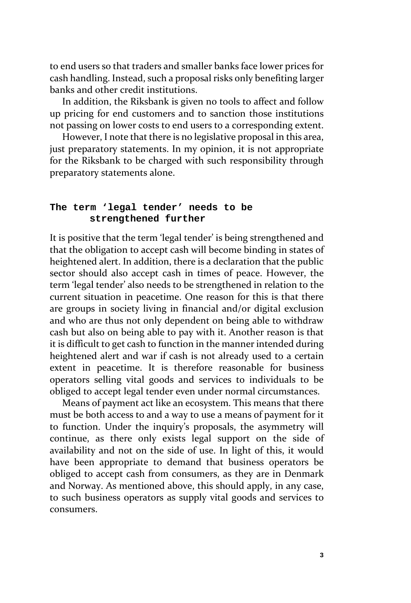to end users so that traders and smaller banks face lower prices for cash handling. Instead, such a proposal risks only benefiting larger banks and other credit institutions.

In addition, the Riksbank is given no tools to affect and follow up pricing for end customers and to sanction those institutions not passing on lower costs to end users to a corresponding extent.

However, I note that there is no legislative proposal in this area, just preparatory statements. In my opinion, it is not appropriate for the Riksbank to be charged with such responsibility through preparatory statements alone.

## **The term 'legal tender' needs to be strengthened further**

It is positive that the term 'legal tender' is being strengthened and that the obligation to accept cash will become binding in states of heightened alert. In addition, there is a declaration that the public sector should also accept cash in times of peace. However, the term 'legal tender' also needs to be strengthened in relation to the current situation in peacetime. One reason for this is that there are groups in society living in financial and/or digital exclusion and who are thus not only dependent on being able to withdraw cash but also on being able to pay with it. Another reason is that it is difficult to get cash to function in the manner intended during heightened alert and war if cash is not already used to a certain extent in peacetime. It is therefore reasonable for business operators selling vital goods and services to individuals to be obliged to accept legal tender even under normal circumstances.

Means of payment act like an ecosystem. This means that there must be both access to and a way to use a means of payment for it to function. Under the inquiry's proposals, the asymmetry will continue, as there only exists legal support on the side of availability and not on the side of use. In light of this, it would have been appropriate to demand that business operators be obliged to accept cash from consumers, as they are in Denmark and Norway. As mentioned above, this should apply, in any case, to such business operators as supply vital goods and services to consumers.